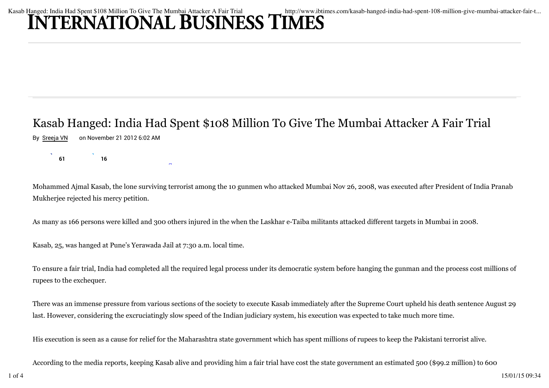## Kasab Hanged: India Had Spent \$108 Million To Give The Mumbai Attacker A Fair Trial http://www.ibtimes.com/kasab-hanged-india-had-spent-108-million-give-mumbai-attacker-fair-t...<br>INTERNATIONAL BUSINESS TIMES

Stumble

## Kasab Hanged: India Had Spent \$108 Million To Give The Mumbai Attacker A Fair Trial

By Sreeja VN on November 21 2012 6:02 AM

 $\begin{array}{ccc} \text{S} & \text{S} \\ \text{S} & \text{I} & \text{I} \end{array}$ 

Mohammed Ajmal Kasab, the lone surviving terrorist among the 10 gunmen who attacked Mumbai Nov 26, 2008, was executed after President of India Pranab Mukherjee rejected his mercy petition.

As many as 166 persons were killed and 300 others injured in the when the Laskhar e-Taiba militants attacked different targets in Mumbai in 2008.

Kasab, 25, was hanged at Pune's Yerawada Jail at 7:30 a.m. local time.

To ensure a fair trial, India had completed all the required legal process under its democratic system before hanging the gunman and the process cost millions of rupees to the exchequer.

There was an immense pressure from various sections of the society to execute Kasab immediately after the Supreme Court upheld his death sentence August 29 last. However, considering the excruciatingly slow speed of the Indian judiciary system, his execution was expected to take much more time.

His execution is seen as a cause for relief for the Maharashtra state government which has spent millions of rupees to keep the Pakistani terrorist alive.

According to the media reports, keeping Kasab alive and providing him a fair trial have cost the state government an estimated 500 (\$99.2 million) to 600